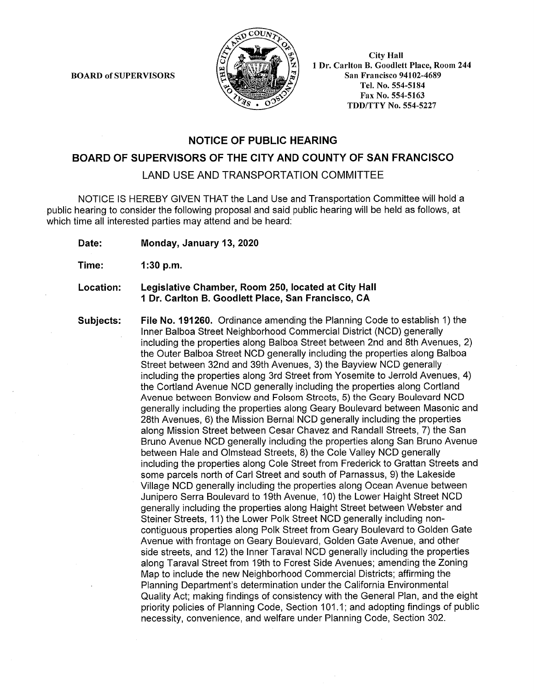**BOARD of SUPERVISORS** 



**City Hall** 1 Dr. Carlton B. Goodlett Place, Room 244 **San Francisco 94102-4689** Tel. No. 554-5184 Fax No. 554-5163 **TDD/TTY No. 554-5227** 

## **NOTICE OF PUBLIC HEARING**

### BOARD OF SUPERVISORS OF THE CITY AND COUNTY OF SAN FRANCISCO

**LAND USE AND TRANSPORTATION COMMITTEE** 

NOTICE IS HEREBY GIVEN THAT the Land Use and Transportation Committee will hold a public hearing to consider the following proposal and said public hearing will be held as follows, at which time all interested parties may attend and be heard:

Date: Monday, January 13, 2020

Time:  $1:30 p.m.$ 

#### Legislative Chamber, Room 250, located at City Hall Location: 1 Dr. Carlton B. Goodlett Place, San Francisco, CA

Subjects: File No. 191260. Ordinance amending the Planning Code to establish 1) the Inner Balboa Street Neighborhood Commercial District (NCD) generally including the properties along Balboa Street between 2nd and 8th Avenues, 2) the Outer Balboa Street NCD generally including the properties along Balboa Street between 32nd and 39th Avenues, 3) the Bayview NCD generally including the properties along 3rd Street from Yosemite to Jerrold Avenues, 4) the Cortland Avenue NCD generally including the properties along Cortland Avenue between Bonview and Folsom Streets, 5) the Geary Boulevard NCD generally including the properties along Geary Boulevard between Masonic and 28th Avenues, 6) the Mission Bernal NCD generally including the properties along Mission Street between Cesar Chavez and Randall Streets, 7) the San Bruno Avenue NCD generally including the properties along San Bruno Avenue between Hale and Olmstead Streets, 8) the Cole Valley NCD generally including the properties along Cole Street from Frederick to Grattan Streets and some parcels north of Carl Street and south of Parnassus, 9) the Lakeside Village NCD generally including the properties along Ocean Avenue between Junipero Serra Boulevard to 19th Avenue, 10) the Lower Haight Street NCD generally including the properties along Haight Street between Webster and Steiner Streets, 11) the Lower Polk Street NCD generally including noncontiguous properties along Polk Street from Geary Boulevard to Golden Gate Avenue with frontage on Geary Boulevard, Golden Gate Avenue, and other side streets, and 12) the Inner Taraval NCD generally including the properties along Taraval Street from 19th to Forest Side Avenues; amending the Zoning Map to include the new Neighborhood Commercial Districts; affirming the Planning Department's determination under the California Environmental Quality Act; making findings of consistency with the General Plan, and the eight priority policies of Planning Code, Section 101.1; and adopting findings of public necessity, convenience, and welfare under Planning Code, Section 302.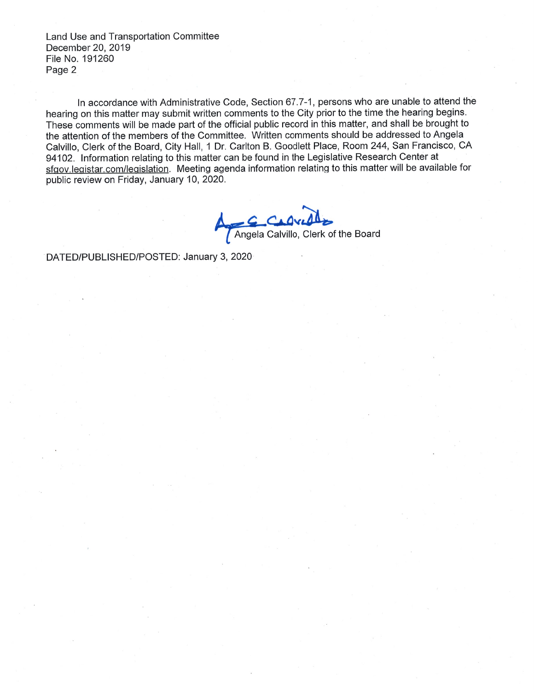Land Use and Transportation Committee December 20, 2019 File No. 191260 Page 2

In accordance with Administrative Code, Section 67.7-1, persons who are unable to attend the hearing on this matter may submit written comments to the City prior to the time the hearing begins. These comments will be made part of the official public record in this matter, and shall be brought to the attention of the members of the Committee. Written comments should be addressed to Angela Calvillo, Clerk of the Board, City Hall, 1 Dr. Carlton B. Goodlett Place, Room 244, San Francisco, CA 94102. Information relating to this matter can be found in the Legislative Research Center at sfgov.legistar.com/legislation. Meeting agenda information relating to this matter will be available for public review on Friday, January 10, 2020.

Angela Calvillo, Clerk of the Board

DATED/PUBLISHED/POSTED: January 3, 2020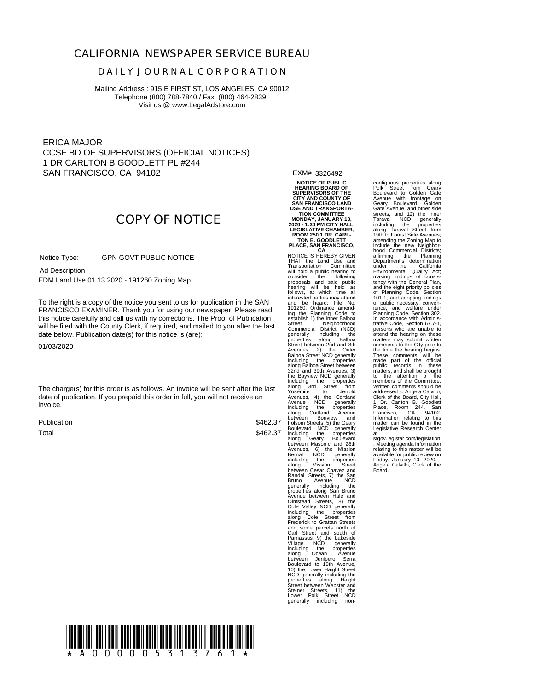### **CALIFORNIA NEWSPAPER SERVICE BUREAU**

#### **D A I L Y J O U R N A L C O R P O R A T I O N**

Mailing Address : 915 E FIRST ST, LOS ANGELES, CA 90012 Telephone (800) 788-7840 / Fax (800) 464-2839 Visit us @ www.LegalAdstore.com

ERICA MAJOR CCSF BD OF SUPERVISORS (OFFICIAL NOTICES) 1 DR CARLTON B GOODLETT PL #244 SAN FRANCISCO, CA 94102

# **COPY OF NOTICE**

 GPN GOVT PUBLIC NOTICE Notice Type:

 EDM Land Use 01.13.2020 - 191260 Zoning Map Ad Description

FRANCISCO EXAMINER. Thank you for using our newspaper. Please read<br>this notice carefully and call us with ny corrections. The Proof of Publication To the right is a copy of the notice you sent to us for publication in the SAN FRANCISCO EXAMINER. Thank you for using our newspaper. Please read will be filed with the County Clerk, if required, and mailed to you after the last date below. Publication date(s) for this notice is (are):

01/03/2020

The charge(s) for this order is as follows. An invoice will be sent after the last date of publication. If you prepaid this order in full, you will not receive an invoice.

Publication Total

\$462.37 \$462.37 EXM# 3326492

**NOTICE OF PUBLIC HEARING BOARD OF SUPERVISORS OF THE CITY AND COUNTY OF SAN FRANCISCO LAND**

USE AND TRANSPORTA-<br>TION COMMITTEE<br>MONDAY, JANUARY 13,<br>2020 - 1:30 PM CITY HALL,<br>LEGISLATIVE CHAMBER,<br>ROOM 250 1 DR. CARL-<br>TON B. GOODLETT **PLACE, SAN FRANCISCO,**

**CA** NOTICE IS HEREBY GIVEN THAT the Land Use and<br>Transportation Committee<br>will hold a public hearing to<br>consider the following to<br>proposals and said public<br>hearing will be held as<br>follows, at which time all<br>and be heard: File No.<br>191260. Ordinance a Street Neighborhood Commercial District (NCD) generally including the<br>properties along Balboa<br>Street between 2nd and 8th<br>Avenues, 2) the Outer<br>Balboa Street NCD generally<br>including the properties<br>along Balboa Street between<br>32nd and 39th Avenues, 3)<br>the Bayview NCD ge including the properties along 3rd Street from incluent of the Using and Singulary and Singulary Sing and Avenues A) the Cordian<br>Avenues A) the Cordian Avenue NCD generally<br>including the properties<br>about a New and Folsom Street Bottware Horse and Folsom Soluviard NCD g and some parcels north of Carl Street and south of Parnassus, 9) the Lakeside Village NCD generally including the properties along Ocean Avenue between Junipero Serra Boulevard to 19th Avenue, 10) the Lower Haight Street NCD generally including the properties along Haight Street between Webster and Steiner Streets, 11) the Lower Polk Street NCD generally including non-

contiguous properties along<br>Polk Street from Geary<br>Boulevard to Golden Gate<br>Avenue with frontage on<br>Geary Boulevard, Golden<br>Gear Avenue, and other side<br>streets, and 12) the Inner<br>streets, and 12) the Inner<br>Intraval<br>along T tency with the General Plan, and the eight priority policies of Planning Code, Section 101.1; and adopting findings of public necessity, conven-ience, and welfare under Planning Code, Section 302. In accordance with Administrative Code, Section 67.7-1. trative Code, Section 67.7-1, persons who are unable to attend the hearing on these matters may submit written comments to the City prior to the time the hearing begins. These comments will be<br>made part of the official<br>public records in these<br>matters, and shall be brought<br>to the attention of the<br>members of the Committee.<br>Written comments should be addressed to Angela Calvillo, Clerk of the Board, City Hall, 1<br>1 Dr. Carlton B. Goodlett Place, Room 244, San<br>Francisco, CA 94102. Information relating to this matter can be found in the Legislative Research Center at at

at<br>sfgov.legistar.com/legislation . Meeting agenda information<br>relating to this matter will be<br>available for public review on<br>Friday, January 10, 2020. - Angela Calvillo, Clerk of the<br>Board.